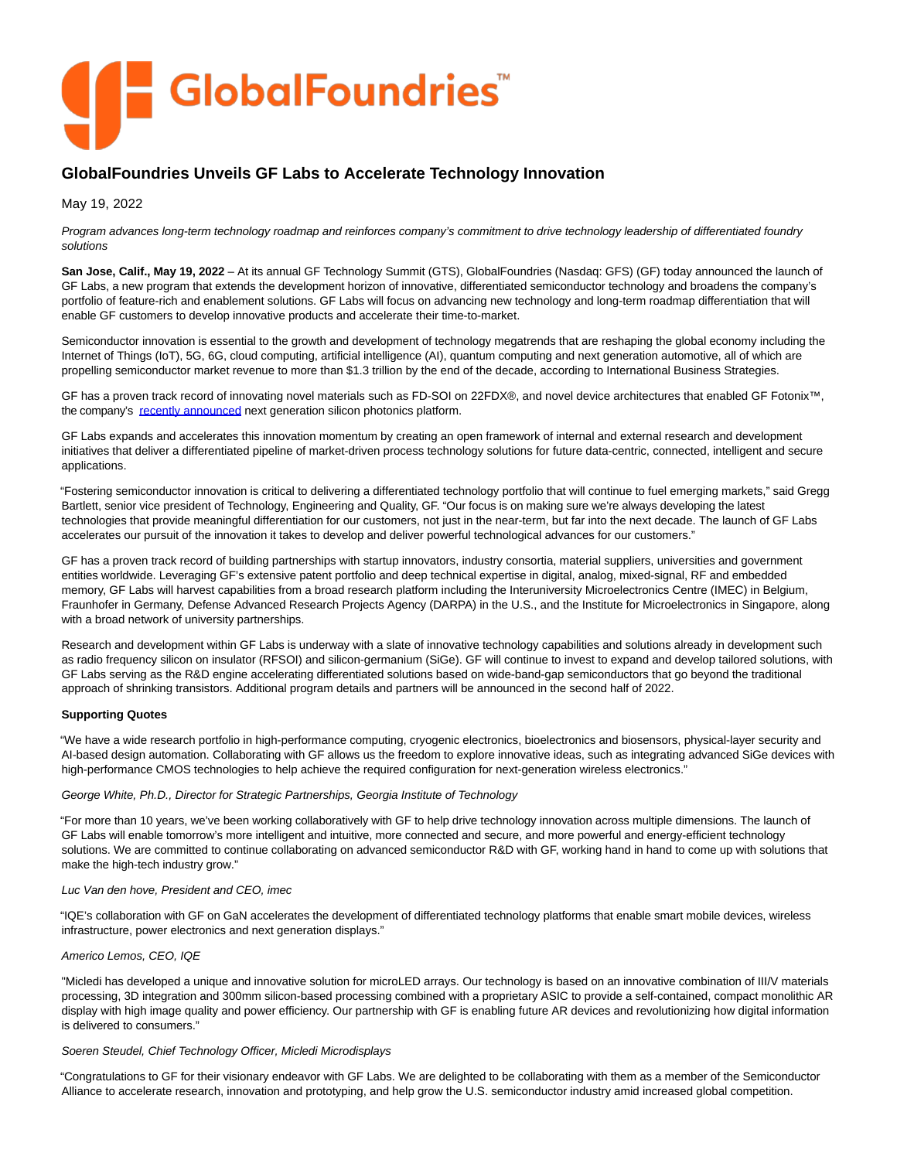

# **GlobalFoundries Unveils GF Labs to Accelerate Technology Innovation**

May 19, 2022

Program advances long-term technology roadmap and reinforces company's commitment to drive technology leadership of differentiated foundry solutions

**San Jose, Calif., May 19, 2022** – At its annual GF Technology Summit (GTS), GlobalFoundries (Nasdaq: GFS) (GF) today announced the launch of GF Labs, a new program that extends the development horizon of innovative, differentiated semiconductor technology and broadens the company's portfolio of feature-rich and enablement solutions. GF Labs will focus on advancing new technology and long-term roadmap differentiation that will enable GF customers to develop innovative products and accelerate their time-to-market.

Semiconductor innovation is essential to the growth and development of technology megatrends that are reshaping the global economy including the Internet of Things (IoT), 5G, 6G, cloud computing, artificial intelligence (AI), quantum computing and next generation automotive, all of which are propelling semiconductor market revenue to more than \$1.3 trillion by the end of the decade, according to International Business Strategies.

GF has a proven track record of innovating novel materials such as FD-SOI on 22FDX®, and novel device architectures that enabled GF Fotonix™, the company's [recently announced n](https://gf.com/globalfoundries-announces-next-generation-silicon-photonics-solutions-and/)ext generation silicon photonics platform.

GF Labs expands and accelerates this innovation momentum by creating an open framework of internal and external research and development initiatives that deliver a differentiated pipeline of market-driven process technology solutions for future data-centric, connected, intelligent and secure applications.

"Fostering semiconductor innovation is critical to delivering a differentiated technology portfolio that will continue to fuel emerging markets," said Gregg Bartlett, senior vice president of Technology, Engineering and Quality, GF. "Our focus is on making sure we're always developing the latest technologies that provide meaningful differentiation for our customers, not just in the near-term, but far into the next decade. The launch of GF Labs accelerates our pursuit of the innovation it takes to develop and deliver powerful technological advances for our customers."

GF has a proven track record of building partnerships with startup innovators, industry consortia, material suppliers, universities and government entities worldwide. Leveraging GF's extensive patent portfolio and deep technical expertise in digital, analog, mixed-signal, RF and embedded memory, GF Labs will harvest capabilities from a broad research platform including the Interuniversity Microelectronics Centre (IMEC) in Belgium, Fraunhofer in Germany, Defense Advanced Research Projects Agency (DARPA) in the U.S., and the Institute for Microelectronics in Singapore, along with a broad network of university partnerships.

Research and development within GF Labs is underway with a slate of innovative technology capabilities and solutions already in development such as radio frequency silicon on insulator (RFSOI) and silicon-germanium (SiGe). GF will continue to invest to expand and develop tailored solutions, with GF Labs serving as the R&D engine accelerating differentiated solutions based on wide-band-gap semiconductors that go beyond the traditional approach of shrinking transistors. Additional program details and partners will be announced in the second half of 2022.

# **Supporting Quotes**

"We have a wide research portfolio in high-performance computing, cryogenic electronics, bioelectronics and biosensors, physical-layer security and AI-based design automation. Collaborating with GF allows us the freedom to explore innovative ideas, such as integrating advanced SiGe devices with high-performance CMOS technologies to help achieve the required configuration for next-generation wireless electronics."

# George White, Ph.D., Director for Strategic Partnerships, Georgia Institute of Technology

"For more than 10 years, we've been working collaboratively with GF to help drive technology innovation across multiple dimensions. The launch of GF Labs will enable tomorrow's more intelligent and intuitive, more connected and secure, and more powerful and energy-efficient technology solutions. We are committed to continue collaborating on advanced semiconductor R&D with GF, working hand in hand to come up with solutions that make the high-tech industry grow."

# Luc Van den hove, President and CEO, imec

"IQE's collaboration with GF on GaN accelerates the development of differentiated technology platforms that enable smart mobile devices, wireless infrastructure, power electronics and next generation displays."

# Americo Lemos, CEO, IQE

"Micledi has developed a unique and innovative solution for microLED arrays. Our technology is based on an innovative combination of III/V materials processing, 3D integration and 300mm silicon-based processing combined with a proprietary ASIC to provide a self-contained, compact monolithic AR display with high image quality and power efficiency. Our partnership with GF is enabling future AR devices and revolutionizing how digital information is delivered to consumers."

# Soeren Steudel, Chief Technology Officer, Micledi Microdisplays

"Congratulations to GF for their visionary endeavor with GF Labs. We are delighted to be collaborating with them as a member of the Semiconductor Alliance to accelerate research, innovation and prototyping, and help grow the U.S. semiconductor industry amid increased global competition.